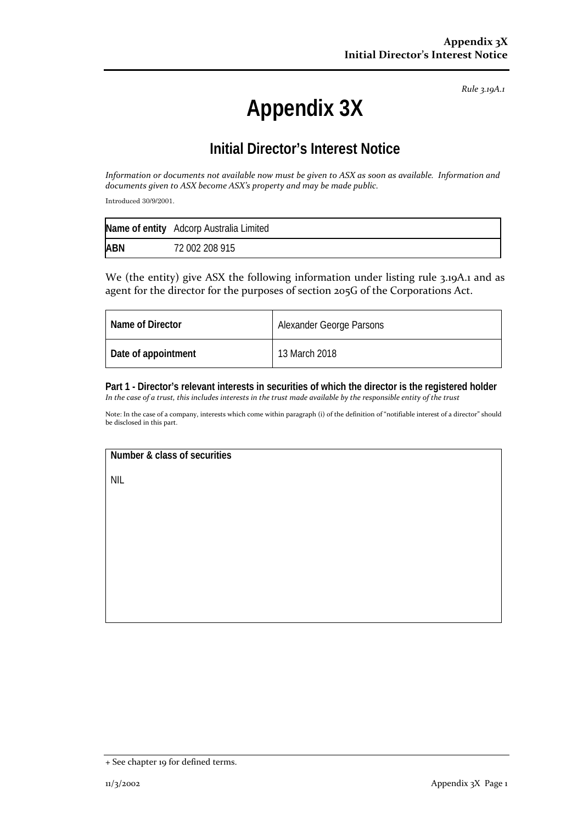*Rule 3.19A.1*

## **Appendix 3X**

## **Initial Director's Interest Notice**

*Information or documents not available now must be given to ASX as soon as available. Information and documents given to ASX become ASX's property and may be made public.*

Introduced 30/9/2001.

|            | Name of entity Adcorp Australia Limited |
|------------|-----------------------------------------|
| <b>ABN</b> | 72 002 208 915                          |

We (the entity) give ASX the following information under listing rule 3.19A.1 and as agent for the director for the purposes of section 205G of the Corporations Act.

| Name of Director    | Alexander George Parsons |
|---------------------|--------------------------|
| Date of appointment | 13 March 2018            |

**Part 1 - Director's relevant interests in securities of which the director is the registered holder** *In the case of a trust, this includes interests in the trust made available by the responsible entity of the trust*

Note: In the case of a company, interests which come within paragraph (i) of the definition of "notifiable interest of a director" should be disclosed in this part.

**Number & class of securities**

NIL

<sup>+</sup> See chapter 19 for defined terms.